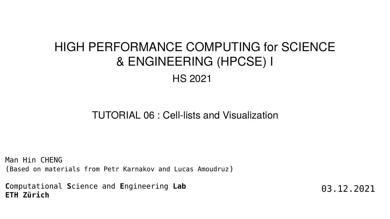Man Hin CHENG (Based on materials from Petr Karnakov and Lucas Amoudruz)

**C**omputational **S**cience and **E**ngineering **Lab ETH Zürich**

TUTORIAL 06 : Cell-lists and Visualization

## HIGH PERFORMANCE COMPUTING for SCIENCE & ENGINEERING (HPCSE) I HS 2021

03.12.2021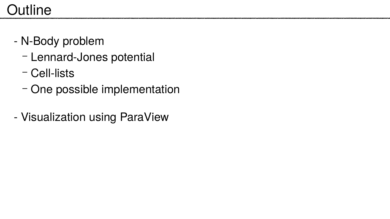# **Outline**

- N-Body problem
	- Lennard-Jones potential
	- Cell-lists
	- One possible implementation
- Visualization using ParaView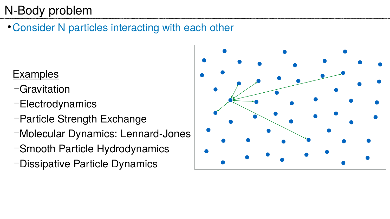## N-Body problem

• Consider N particles interacting with each other

### **Examples**

- –Gravitation
- –Electrodynamics
- –Particle Strength Exchange
- –Molecular Dynamics: Lennard-Jones
- –Smooth Particle Hydrodynamics
- –Dissipative Particle Dynamics



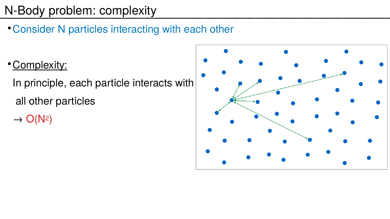## N-Body problem: complexity

• Consider N particles interacting with each other

• Complexity:

In principle, each particle interacts with all other particles  $N<sup>2</sup>$ 

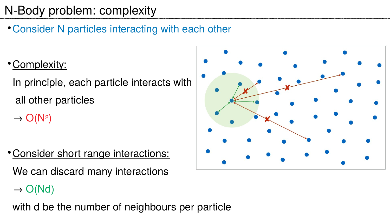## N-Body problem: complexity

• Consider N particles interacting with each other

• Complexity:

In principle, each particle interacts with all other particles  $\rightarrow$  O(N<sup>2</sup>)

• Consider short range interactions: We can discard many interactions  $\rightarrow$  O(Nd) with d be the number of neighbours per particle

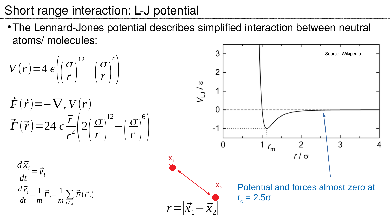### Short range interaction: L-J potential

Potential and forces almost zero at r c  $= 2.5\sigma$ 



atoms/ molecules:



 $r = |\vec{x}_1 - \vec{x}_2|$  $X_2$ 

 $X_{1}$ 

$$
V(r) = 4 \epsilon \left( \left( \frac{\sigma}{r} \right)^{12} - \left( \frac{\sigma}{r} \right)^{6} \right)
$$

$$
\vec{F}(\vec{r}) = -\nabla_{\vec{r}} V(r)
$$
\n
$$
\vec{F}(\vec{r}) = 24 \epsilon \frac{\vec{r}}{r^2} \left( 2\left(\frac{\sigma}{r}\right)^{12} - \left(\frac{\sigma}{r}\right)^6 \right)
$$

$$
\frac{d\vec{x}_i}{dt} = \vec{v}_i
$$
  

$$
\frac{d\vec{v}_i}{dt} = \frac{1}{m}\vec{F}_i = \frac{1}{m}\sum_{i \neq j} \vec{F}(\vec{r}_{ij})
$$

### • The Lennard-Jones potential describes simplified interaction between neutral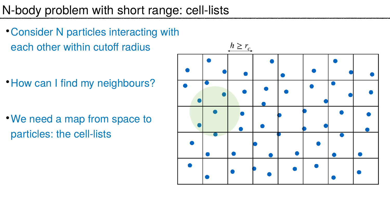### N-body problem with short range: cell-lists

• Consider N particles interacting with each other within cutoff radius

• How can I find my neighbours?

• We need a map from space to particles: the cell-lists

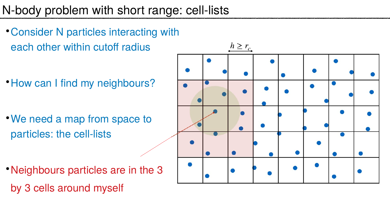### N-body problem with short range: cell-lists

• Consider N particles interacting with each other within cutoff radius

• How can I find my neighbours?

• We need a map from space to particles: the cell-lists

• Neighbours particles are in the 3 by 3 cells around myself

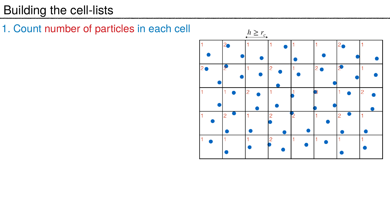### Building the cell-lists

1. Count number of particles in each cell

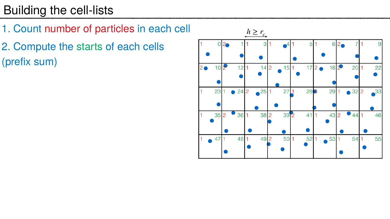## Building the cell-lists

- 1. Count number of particles in each cell
- 2. Compute the starts of each cells (prefix sum)



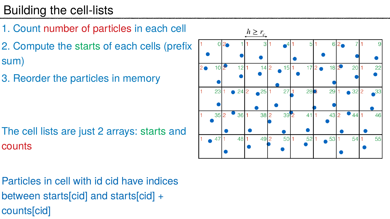## Building the cell-lists

- 1. Count number of particles in each cell
- 2. Compute the starts of each cells (prefix sum)
- 3. Reorder the particles in memory

The cell lists are just 2 arrays: starts and counts

Particles in cell with id cid have indices between starts[cid] and starts[cid] + counts[cid]



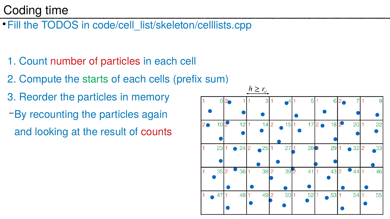### Coding time

• Fill the TODOS in code/cell\_list/skeleton/celllists.cpp

- 1. Count number of particles in each cell
- 2. Compute the starts of each cells (prefix sum)
- 3. Reorder the particles in memory
- –By recounting the particles again and looking at the result of counts

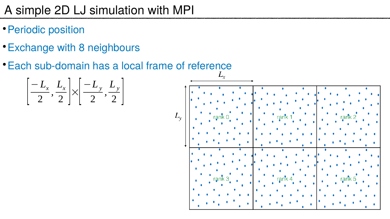## A simple 2D LJ simulation with MPI

- Periodic position
- Exchange with 8 neighbours
- Each sub-domain has a local frame of reference

$$
\left[\frac{-L_x}{2}, \frac{L_x}{2}\right] \times \left[\frac{-L_y}{2}, \frac{L_y}{2}\right]
$$

 $L_{\rm v}$ 

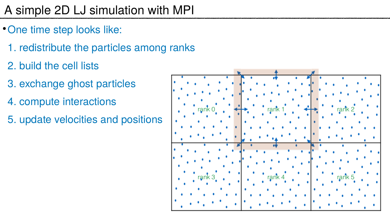# A simple 2D LJ simulation with MPI

- One time step looks like:
	- 1. redistribute the particles among ranks
	- 2. build the cell lists
	- 3. exchange ghost particles
	- 4. compute interactions
	- 5. update velocities and positions



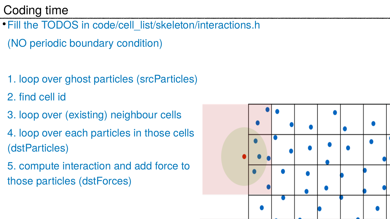### Coding time

- 1. loop over ghost particles (srcParticles)
- 2. find cell id
- 3. loop over (existing) neighbour cells
- 4. loop over each particles in those cells (dstParticles)
- 5. compute interaction and add force to those particles (dstForces)



• Fill the TODOS in code/cell\_list/skeleton/interactions.h (NO periodic boundary condition)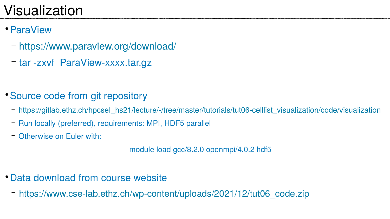# Visualization

- ParaView
	- <https://www.paraview.org/download/>
	- tar -zxvf ParaView-xxxx.tar.gz
- Source code from git repository
	-
	- Run locally (preferred), requirements: MPI, HDF5 parallel
	- Otherwise on Euler with:

– [https://gitlab.ethz.ch/hpcseI\\_hs21/lecture/-/tree/master/tutorials/tut06-celllist\\_visualization/code/visualization](https://gitlab.ethz.ch/hpcseI_hs21/lecture/-/tree/master/tutorials/tut06-celllist_visualization/code/visualization)



- Data download from course website
	- [https://www.cse-lab.ethz.ch/wp-content/uploads/2021/12/tut06\\_code.zip](https://www.cse-lab.ethz.ch/wp-content/uploads/2021/12/tut06_code.zip)

module load gcc/8.2.0 openmpi/4.0.2 hdf5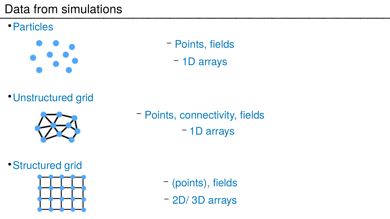### Data from simulations

● Particles



– Points, fields – 1D arrays

● Unstructured grid



– Points, connectivity, fields – 1D arrays

### • Structured grid



– (points), fields – 2D/ 3D arrays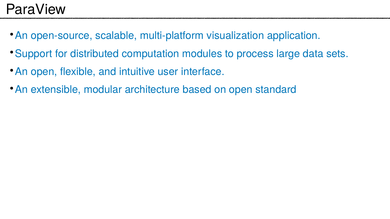# ParaView

- An open-source, scalable, multi-platform visualization application.
- Support for distributed computation modules to process large data sets.
- An open, flexible, and intuitive user interface.
- An extensible, modular architecture based on open standard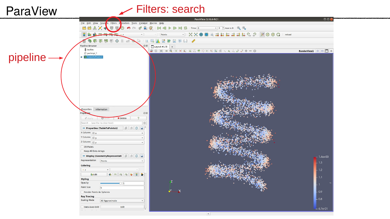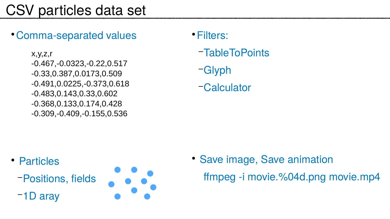# CSV particles data set

### • Comma-separated values

● Particles –Positions, fields –1D aray



- Filters:
	- –TableToPoints
	- –Glyph
	- –Calculator

x,y,z,r -0.467,-0.0323,-0.22,0.517 -0.33,0.387,0.0173,0.509 -0.491,0.0225,-0.373,0.618 -0.483,0.143,0.33,0.602 -0.368,0.133,0.174,0.428 -0.309,-0.409,-0.155,0.536

> • Save image, Save animation ffmpeg -i movie.%04d.png movie.mp4

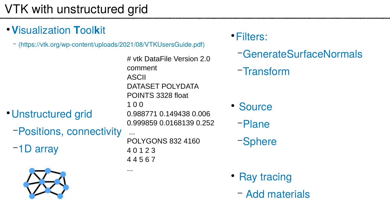## VTK with unstructured grid

### ● **V**isualization **T**ool**k**it

– ([https://vtk.org/wp-content/uploads/2021/08/VTKUsersGuide.pdf\)](https://vtk.org/wp-content/uploads/2021/08/VTKUsersGuide.pdf)

- Unstructured grid
	- –Positions, connectivity
	- –1D array



- Source
	- –Plane
	- –Sphere

• Ray tracing – Add materials

# vtk DataFile Version 2.0 comment ASCII DATASET POLYDATA POINTS 3328 float 1 0 0 0.988771 0.149438 0.006 0.999859 0.0168139 0.252 ... POLYGONS 832 4160 4 0 1 2 3 4 4 5 6 7

...

### ● Filters:

–GenerateSurfaceNormals

–Transform

- 
- 
-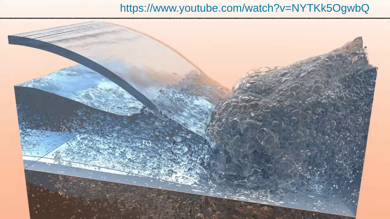### <https://www.youtube.com/watch?v=NYTKk5OgwbQ>